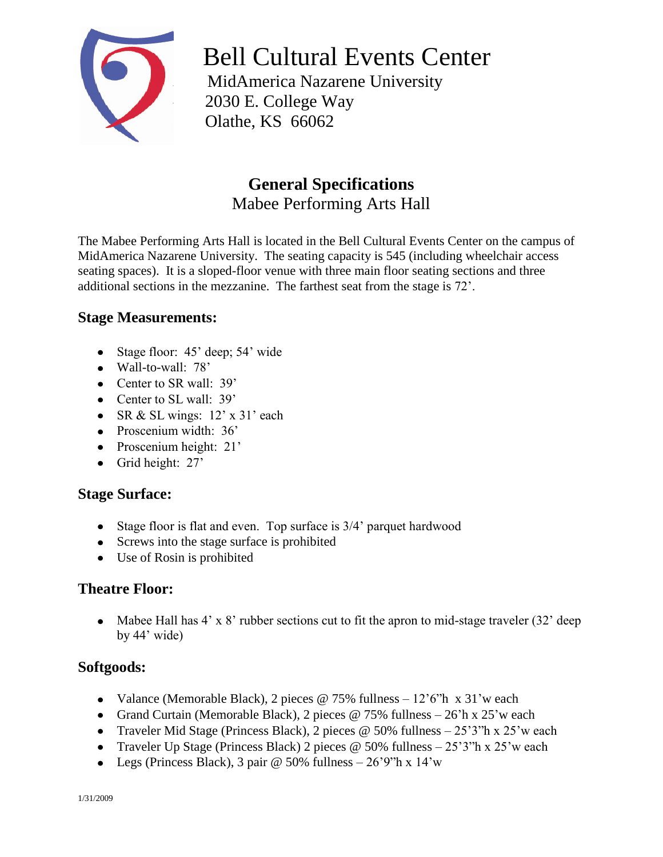

Bell Cultural Events Center

 MidAmerica Nazarene University 2030 E. College Way Olathe, KS 66062

# **General Specifications** Mabee Performing Arts Hall

The Mabee Performing Arts Hall is located in the Bell Cultural Events Center on the campus of MidAmerica Nazarene University. The seating capacity is 545 (including wheelchair access seating spaces). It is a sloped-floor venue with three main floor seating sections and three additional sections in the mezzanine. The farthest seat from the stage is 72'.

# **Stage Measurements:**

- Stage floor: 45' deep; 54' wide
- Wall-to-wall: 78'
- Center to SR wall: 39'
- Center to SL wall: 39'
- SR & SL wings:  $12' \times 31'$  each
- Proscenium width: 36'
- Proscenium height: 21'
- Grid height: 27'

# **Stage Surface:**

- Stage floor is flat and even. Top surface is 3/4' parquet hardwood
- Screws into the stage surface is prohibited
- Use of Rosin is prohibited

# **Theatre Floor:**

• Mabee Hall has  $4' \times 8'$  rubber sections cut to fit the apron to mid-stage traveler (32' deep by 44' wide)

# **Softgoods:**

- Valance (Memorable Black), 2 pieces @ 75% fullness  $-12'6''h \times 31'w$  each
- Grand Curtain (Memorable Black), 2 pieces @ 75% fullness  $-26$ 'h x 25'w each
- Traveler Mid Stage (Princess Black), 2 pieces  $\omega$  50% fullness  $-25'3''h \times 25'w$  each
- Traveler Up Stage (Princess Black) 2 pieces  $\omega$  50% fullness  $-25'3''h \times 25'w$  each
- Legs (Princess Black), 3 pair  $\omega$  50% fullness 26'9"h x 14'w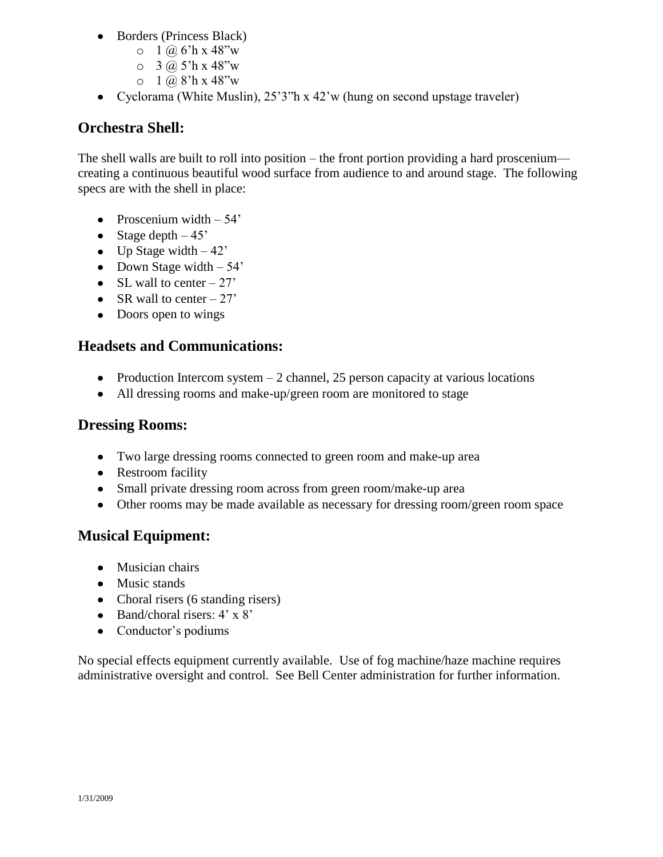- Borders (Princess Black)
	- $0 \frac{1}{2}$   $\frac{1}{2}$   $\frac{1}{2}$   $\frac{1}{2}$   $\frac{1}{2}$   $\frac{1}{2}$   $\frac{1}{2}$   $\frac{1}{2}$   $\frac{1}{2}$   $\frac{1}{2}$   $\frac{1}{2}$   $\frac{1}{2}$   $\frac{1}{2}$   $\frac{1}{2}$   $\frac{1}{2}$   $\frac{1}{2}$   $\frac{1}{2}$   $\frac{1}{2}$   $\frac{1}{2}$   $\frac{1}{2}$   $\frac{1}{2}$   $\frac{1}{2}$
	- $O \quad 3 \; (a) \; 5$ 'h x 48"w
	- $0 \quad 1 \quad \omega 8$ 'h x 48"w
- Cyclorama (White Muslin), 25'3"h x 42'w (hung on second upstage traveler)

# **Orchestra Shell:**

The shell walls are built to roll into position – the front portion providing a hard proscenium creating a continuous beautiful wood surface from audience to and around stage. The following specs are with the shell in place:

- Proscenium width  $-54'$
- Stage depth  $-45$ '
- $\bullet$  Up Stage width  $-42$ '
- Down Stage width  $-54'$
- SL wall to center  $-27'$
- SR wall to center  $-27'$
- Doors open to wings

## **Headsets and Communications:**

- Production Intercom system  $-2$  channel, 25 person capacity at various locations
- All dressing rooms and make-up/green room are monitored to stage

## **Dressing Rooms:**

- Two large dressing rooms connected to green room and make-up area
- Restroom facility
- Small private dressing room across from green room/make-up area
- Other rooms may be made available as necessary for dressing room/green room space

# **Musical Equipment:**

- Musician chairs
- Music stands
- Choral risers (6 standing risers)
- Band/choral risers:  $4' \times 8'$
- Conductor's podiums

No special effects equipment currently available. Use of fog machine/haze machine requires administrative oversight and control. See Bell Center administration for further information.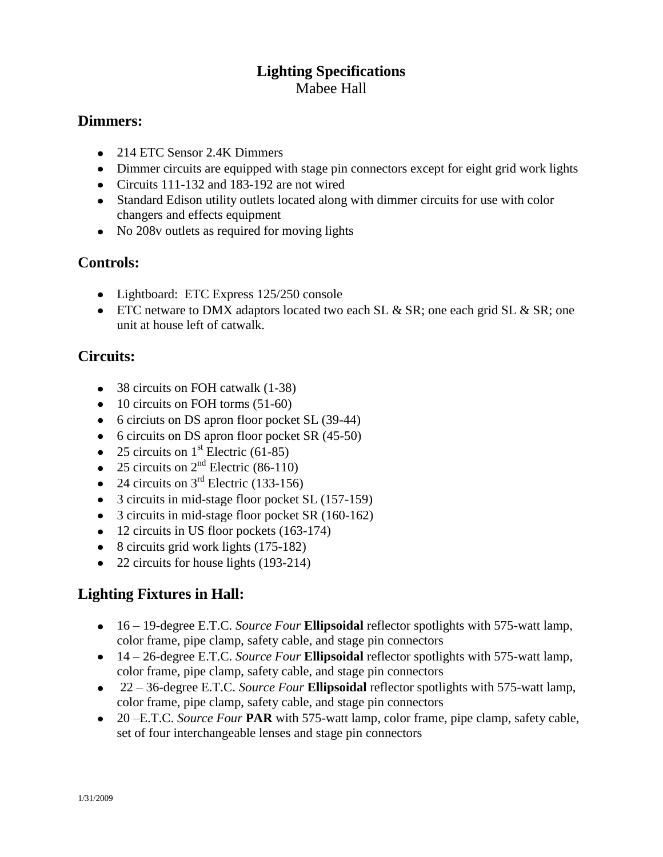# **Lighting Specifications** Mabee Hall

## **Dimmers:**

- 214 ETC Sensor 2.4K Dimmers
- Dimmer circuits are equipped with stage pin connectors except for eight grid work lights
- Circuits 111-132 and 183-192 are not wired
- Standard Edison utility outlets located along with dimmer circuits for use with color changers and effects equipment
- No 208y outlets as required for moving lights

## **Controls:**

- Lightboard: ETC Express 125/250 console
- ETC netware to DMX adaptors located two each SL  $&$  SR; one each grid SL  $&$  SR; one unit at house left of catwalk.

## **Circuits:**

- 38 circuits on FOH catwalk (1-38)
- $\bullet$  10 circuits on FOH torms (51-60)
- 6 circiuts on DS apron floor pocket SL (39-44)
- 6 circuits on DS apron floor pocket SR (45-50)
- 25 circuits on  $1<sup>st</sup>$  Electric (61-85)
- 25 circuits on  $2<sup>nd</sup>$  Electric (86-110)
- 24 circuits on  $3<sup>rd</sup>$  Electric (133-156)
- 3 circuits in mid-stage floor pocket SL (157-159)
- 3 circuits in mid-stage floor pocket SR (160-162)
- 12 circuits in US floor pockets (163-174)
- 8 circuits grid work lights (175-182)
- 22 circuits for house lights (193-214)

# **Lighting Fixtures in Hall:**

- 16 19-degree E.T.C. *Source Four* **Ellipsoidal** reflector spotlights with 575-watt lamp, color frame, pipe clamp, safety cable, and stage pin connectors
- 14 26-degree E.T.C. *Source Four* **Ellipsoidal** reflector spotlights with 575-watt lamp, color frame, pipe clamp, safety cable, and stage pin connectors
- 22 36-degree E.T.C. *Source Four* **Ellipsoidal** reflector spotlights with 575-watt lamp, color frame, pipe clamp, safety cable, and stage pin connectors
- 20 –E.T.C. *Source Four* **PAR** with 575-watt lamp, color frame, pipe clamp, safety cable, set of four interchangeable lenses and stage pin connectors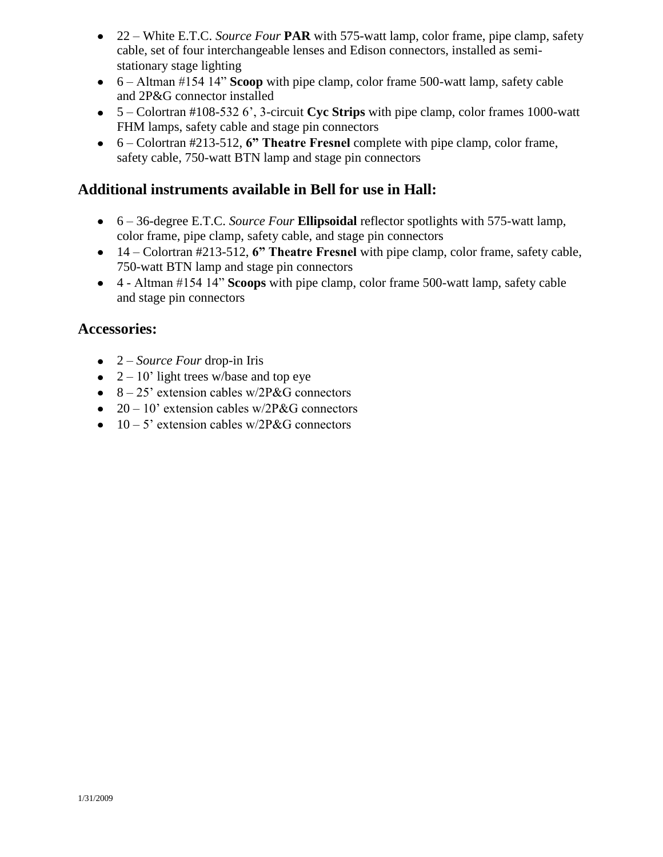- 22 White E.T.C. *Source Four* **PAR** with 575-watt lamp, color frame, pipe clamp, safety cable, set of four interchangeable lenses and Edison connectors, installed as semistationary stage lighting
- 6 Altman #154 14" **Scoop** with pipe clamp, color frame 500-watt lamp, safety cable and 2P&G connector installed
- 5 Colortran #108-532 6', 3-circuit **Cyc Strips** with pipe clamp, color frames 1000-watt FHM lamps, safety cable and stage pin connectors
- 6 Colortran #213-512, **6" Theatre Fresnel** complete with pipe clamp, color frame, safety cable, 750-watt BTN lamp and stage pin connectors

## **Additional instruments available in Bell for use in Hall:**

- 6 36-degree E.T.C. *Source Four* **Ellipsoidal** reflector spotlights with 575-watt lamp, color frame, pipe clamp, safety cable, and stage pin connectors
- 14 Colortran #213-512, **6" Theatre Fresnel** with pipe clamp, color frame, safety cable, 750-watt BTN lamp and stage pin connectors
- 4 Altman #154 14" **Scoops** with pipe clamp, color frame 500-watt lamp, safety cable and stage pin connectors

## **Accessories:**

- 2 *Source Four* drop-in Iris
- $2 10'$  light trees w/base and top eye
- $\bullet$  8 25' extension cables w/2P&G connectors
- $20 10'$  extension cables w/2P&G connectors
- $\bullet$  10 5' extension cables w/2P&G connectors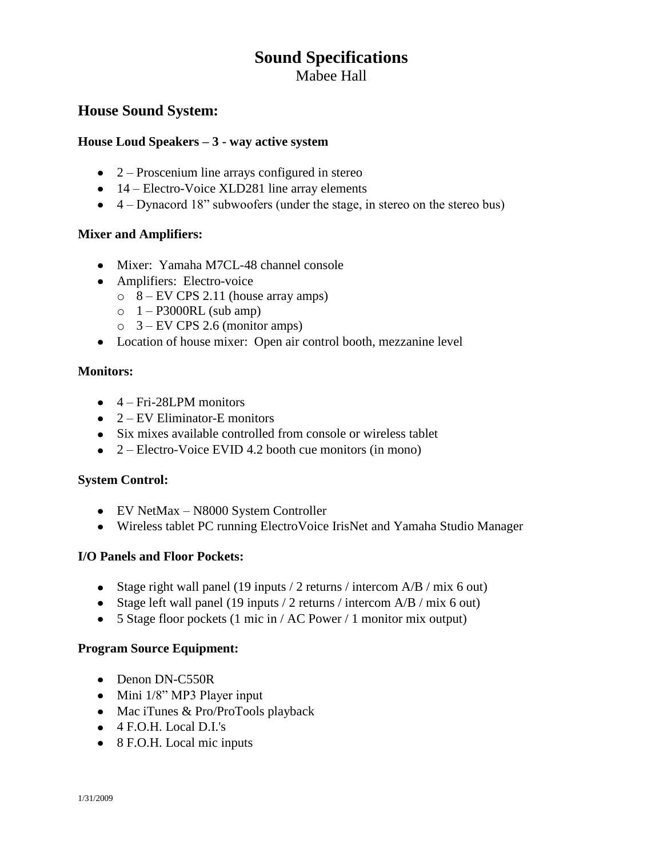# **Sound Specifications**

Mabee Hall

## **House Sound System:**

### **House Loud Speakers – 3 - way active system**

- $\bullet$  2 Proscenium line arrays configured in stereo
- 14 Electro-Voice XLD281 line array elements
- 4 Dynacord 18" subwoofers (under the stage, in stereo on the stereo bus)

### **Mixer and Amplifiers:**

- Mixer: Yamaha M7CL-48 channel console
- Amplifiers: Electro-voice
	- $\circ$  8 EV CPS 2.11 (house array amps)
	- $\circ$  1 P3000RL (sub amp)
	- $\circ$  3 EV CPS 2.6 (monitor amps)
- Location of house mixer: Open air control booth, mezzanine level

### **Monitors:**

- $\bullet$  4 Fri-28LPM monitors
- $\bullet$  2 EV Eliminator-E monitors
- Six mixes available controlled from console or wireless tablet
- 2 Electro-Voice EVID 4.2 booth cue monitors (in mono)

### **System Control:**

- EV NetMax N8000 System Controller
- Wireless tablet PC running ElectroVoice IrisNet and Yamaha Studio Manager

### **I/O Panels and Floor Pockets:**

- Stage right wall panel (19 inputs / 2 returns / intercom  $A/B$  / mix 6 out)
- Stage left wall panel (19 inputs / 2 returns / intercom  $A/B$  / mix 6 out)
- 5 Stage floor pockets (1 mic in / AC Power / 1 monitor mix output)

### **Program Source Equipment:**

- Denon DN-C550R
- Mini 1/8" MP3 Player input
- Mac iTunes & Pro/ProTools playback
- 4 F.O.H. Local D.I.'s
- 8 F.O.H. Local mic inputs